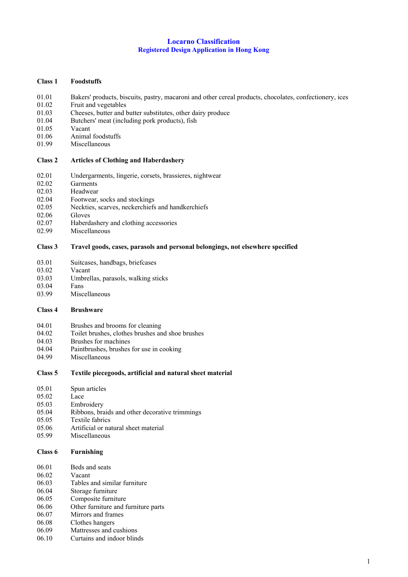#### **Locarno Classification Registered Design Application in Hong Kong**

### **Class 1 Foodstuffs**

- 01.01 Bakers' products, biscuits, pastry, macaroni and other cereal products, chocolates, confectionery, ices
- 01.02 Fruit and vegetables
- 01.03 Cheeses, butter and butter substitutes, other dairy produce
- 01.04 Butchers' meat (including pork products), fish
- 01.05 Vacant
- 01.06 Animal foodstuffs
- 01.99 Miscellaneous

#### **Class 2 Articles of Clothing and Haberdashery**

- 02.01 Undergarments, lingerie, corsets, brassieres, nightwear<br>02.02 Garments
- Garments
- 02.03 Headwear
- 02.04 Footwear, socks and stockings
- 02.05 Neckties, scarves, neckerchiefs and handkerchiefs
- 02.06 Gloves
- 02.07 Haberdashery and clothing accessories
- 02.99 Miscellaneous

## **Class 3 Travel goods, cases, parasols and personal belongings, not elsewhere specified**

- 03.01 Suitcases, handbags, briefcases
- 03.02 Vacant
- 03.03 Umbrellas, parasols, walking sticks
- 03.04 Fans
- 03.99 Miscellaneous

#### **Class 4 Brushware**

- 04.01 Brushes and brooms for cleaning
- 04.02 Toilet brushes, clothes brushes and shoe brushes
- 04.03 Brushes for machines
- 04.04 Paintbrushes, brushes for use in cooking<br>04.99 Miscellaneous
- Miscellaneous
- **Class 5 Textile piecegoods, artificial and natural sheet material**

- 05.02 Lace
- 05.03 Embroidery
- 05.04 Ribbons, braids and other decorative trimmings
- 05.05 Textile fabrics
- 05.06 Artificial or natural sheet material
- 05.99 Miscellaneous

#### **Class 6 Furnishing**

- 06.02 Vacant
- 06.03 Tables and similar furniture
- 06.04 Storage furniture
- 06.05 Composite furniture
- 06.06 Other furniture and furniture parts
- 06.07 Mirrors and frames
- 06.08 Clothes hangers
- 06.09 Mattresses and cushions 06.10 Curtains and indoor blinds

1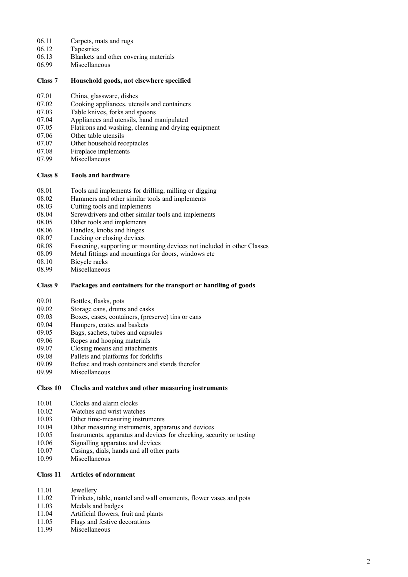- 06.11 Carpets, mats and rugs
- 06.12 Tapestries<br>06.13 Blankets a
- 06.13 Blankets and other covering materials<br>06.99 Miscellaneous
- Miscellaneous

# **Class 7 Household goods, not elsewhere specified**

- 07.01 China, glassware, dishes
- 07.02 Cooking appliances, utensils and containers
- 07.03 Table knives, forks and spoons
- 07.04 Appliances and utensils, hand manipulated
- 07.05 Flatirons and washing, cleaning and drying equipment
- 07.06 Other table utensils
- 07.07 Other household receptacles
- 07.08 Fireplace implements
- 07.99 Miscellaneous

# **Class 8 Tools and hardware**

- 08.01 Tools and implements for drilling, milling or digging
- 08.02 Hammers and other similar tools and implements
- 08.03 Cutting tools and implements
- 08.04 Screwdrivers and other similar tools and implements
- 08.05 Other tools and implements
- 08.06 Handles, knobs and hinges
- 08.07 Locking or closing devices
- 08.08 Fastening, supporting or mounting devices not included in other Classes
- 08.09 Metal fittings and mountings for doors, windows etc
- 08.10 Bicycle racks
- 08.99 Miscellaneous

# **Class 9 Packages and containers for the transport or handling of goods**

- 09.01 Bottles, flasks, pots
- 09.02 Storage cans, drums and casks
- 09.03 Boxes, cases, containers, (preserve) tins or cans
- 09.04 Hampers, crates and baskets
- 09.05 Bags, sachets, tubes and capsules
- 09.06 Ropes and hooping materials
- 09.07 Closing means and attachments
- 09.08 Pallets and platforms for forklifts
- 09.09 Refuse and trash containers and stands therefor<br>09.99 Miscellaneous
- Miscellaneous

#### **Class 10 Clocks and watches and other measuring instruments**

- 10.01 Clocks and alarm clocks
- 10.02 Watches and wrist watches
- 10.03 Other time-measuring instruments
- 10.04 Other measuring instruments, apparatus and devices
- 10.05 Instruments, apparatus and devices for checking, security or testing
- 10.06 Signalling apparatus and devices
- 10.07 Casings, dials, hands and all other parts
- 10.99 Miscellaneous

# **Class 11 Articles of adornment**

- 11.01 Jewellery
- 11.02 Trinkets, table, mantel and wall ornaments, flower vases and pots
- 11.03 Medals and badges
- 11.04 Artificial flowers, fruit and plants
- 11.05 Flags and festive decorations
- 11.99 Miscellaneous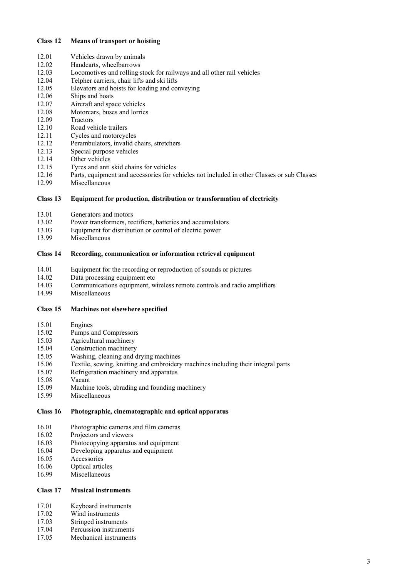# **Class 12 Means of transport or hoisting**

- 12.01 Vehicles drawn by animals<br>12.02 Handcarts, wheelbarrows
- Handcarts, wheelbarrows
- 12.03 Locomotives and rolling stock for railways and all other rail vehicles
- 12.04 Telpher carriers, chair lifts and ski lifts
- 12.05 Elevators and hoists for loading and conveying
- 12.06 Ships and boats
- 12.07 Aircraft and space vehicles
- 12.08 Motorcars, buses and lorries
- 12.09 Tractors
- 12.10 Road vehicle trailers
- 12.11 Cycles and motorcycles
- 12.12 Perambulators, invalid chairs, stretchers
- 12.13 Special purpose vehicles
- 12.14 Other vehicles
- 12.15 Tyres and anti skid chains for vehicles
- 12.16 Parts, equipment and accessories for vehicles not included in other Classes or sub Classes
- 12.99 Miscellaneous

# **Class 13 Equipment for production, distribution or transformation of electricity**

- 13.01 Generators and motors<br>13.02 Power transformers, re
- 13.02 Power transformers, rectifiers, batteries and accumulators<br>13.03 Equipment for distribution or control of electric power
- Equipment for distribution or control of electric power
- 13.99 Miscellaneous

## **Class 14 Recording, communication or information retrieval equipment**

- 14.01 Equipment for the recording or reproduction of sounds or pictures
- 14.02 Data processing equipment etc
- 14.03 Communications equipment, wireless remote controls and radio amplifiers
- 14.99 Miscellaneous

#### **Class 15 Machines not elsewhere specified**

- 15.01 Engines
- 15.02 Pumps and Compressors
- 15.03 Agricultural machinery
- 15.04 Construction machinery
- 15.05 Washing, cleaning and drying machines
- 15.06 Textile, sewing, knitting and embroidery machines including their integral parts
- 15.07 Refrigeration machinery and apparatus<br>15.08 Vacant
- 15.08 Vacant<br>15.09 Machin
- 15.09 Machine tools, abrading and founding machinery<br>15.99 Miscellaneous
- Miscellaneous

# **Class 16 Photographic, cinematographic and optical apparatus**

- 16.01 Photographic cameras and film cameras
- 16.02 Projectors and viewers
- 16.03 Photocopying apparatus and equipment
- 16.04 Developing apparatus and equipment
- 16.05 Accessories
- 16.06 Optical articles
- 16.99 Miscellaneous

# **Class 17 Musical instruments**

- 17.01 Keyboard instruments
- 17.02 Wind instruments
- 17.03 Stringed instruments
- 17.04 Percussion instruments
- 17.05 Mechanical instruments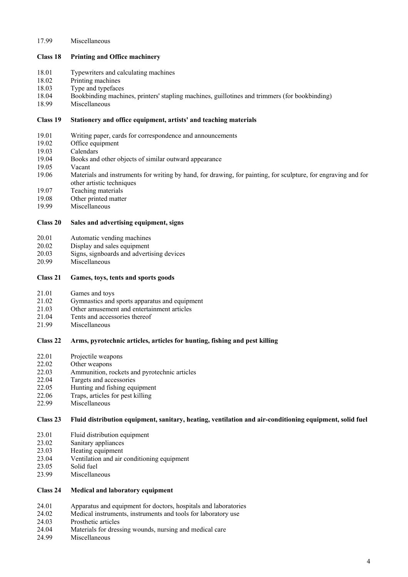# 17.99 Miscellaneous

## **Class 18 Printing and Office machinery**

- 18.01 Typewriters and calculating machines
- 18.02 Printing machines
- 18.03 Type and typefaces
- 18.04 Bookbinding machines, printers' stapling machines, guillotines and trimmers (for bookbinding)
- 18.99 Miscellaneous

## **Class 19 Stationery and office equipment, artists' and teaching materials**

- 19.01 Writing paper, cards for correspondence and announcements
- 19.02 Office equipment
- 19.03 Calendars
- 19.04 Books and other objects of similar outward appearance
- 19.05 Vacant
- 19.06 Materials and instruments for writing by hand, for drawing, for painting, for sculpture, for engraving and for other artistic techniques
- 19.07 Teaching materials
- 19.08 Other printed matter
- 19.99 Miscellaneous

# **Class 20 Sales and advertising equipment, signs**

- 20.01 Automatic vending machines
- 20.02 Display and sales equipment
- 20.03 Signs, signboards and advertising devices
- 20.99 Miscellaneous

# **Class 21 Games, toys, tents and sports goods**

- 21.01 Games and toys
- 21.02 Gymnastics and sports apparatus and equipment
- 21.03 Other amusement and entertainment articles
- 21.04 Tents and accessories thereof
- 21.99 Miscellaneous

# **Class 22 Arms, pyrotechnic articles, articles for hunting, fishing and pest killing**

- 22.01 Projectile weapons
- 22.02 Other weapons
- 22.03 Ammunition, rockets and pyrotechnic articles
- 22.04 Targets and accessories
- 22.05 Hunting and fishing equipment
- 22.06 Traps, articles for pest killing
- 22.99 Miscellaneous

# **Class 23 Fluid distribution equipment, sanitary, heating, ventilation and air-conditioning equipment, solid fuel**

- 23.01 Fluid distribution equipment
- 23.02 Sanitary appliances
- 23.03 Heating equipment
- 23.04 Ventilation and air conditioning equipment
- 23.05 Solid fuel
- 23.99 Miscellaneous

# **Class 24 Medical and laboratory equipment**

- 24.01 Apparatus and equipment for doctors, hospitals and laboratories
- 24.02 Medical instruments, instruments and tools for laboratory use
- 24.03 Prosthetic articles
- 24.04 Materials for dressing wounds, nursing and medical care
- 24.99 Miscellaneous